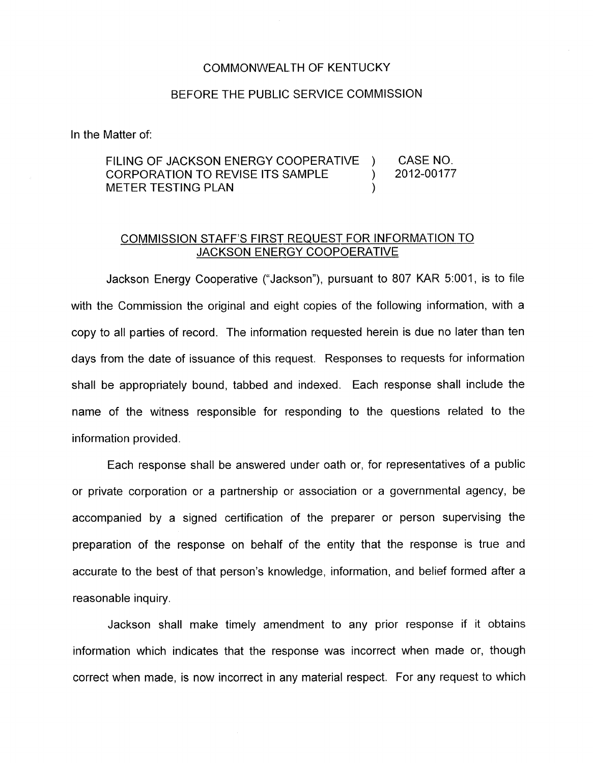## COMMONWEALTH OF KENTUCKY

## BEFORE THE PUBLIC SERVICE COMMISSION

In the Matter of:

FILING OF JACKSON ENERGY COOPERATIVE ) CASE NO.<br>CORPORATION TO REVISE ITS SAMPLE ) 2012-00177 CORPORATION TO REVISE ITS SAMPLE METER TESTING PLAN (1999)

## COMMISSION STAFF'S FIRST REQUEST FOR INFORMATION TO JACKSON ENERGY COOPOERATIVE

Jackson Energy Cooperative ("Jackson"), pursuant to 807 KAR 5:001, is to file with the Commission the original and eight copies of the following information, with a copy to all parties of record. The information requested herein is due no later than ten days from the date of issuance of this request. Responses to requests for information shall be appropriately bound, tabbed and indexed. Each response shall include the name of the witness responsible for responding to the questions related to the information provided.

Each response shall be answered under oath or, for representatives of a public or private corporation or a partnership or association or a governmental agency, be accompanied by a signed certification of the preparer or person supervising the preparation of the response on behalf of the entity that the response is true and accurate to the best of that person's knowledge, information, and belief formed after a reasonable inquiry.

Jackson shall make timely amendment to any prior response if it obtains information which indicates that the response was incorrect when made or, though correct when made, is now incorrect in any material respect. For any request to which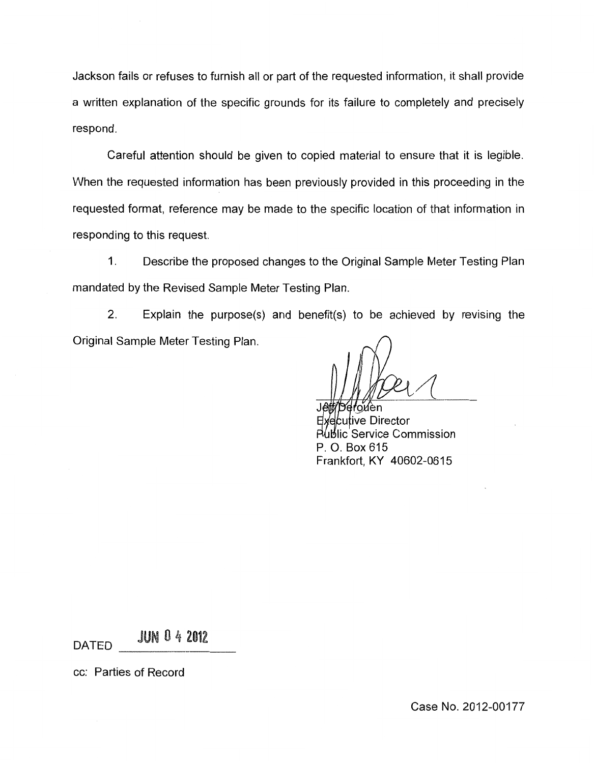Jackson fails or refuses to furnish all or part of the requested information, it shall provide a written explanation of the specific grounds for its failure to completely and precisely respond.

Careful attention should be given to copied material to ensure that it is legible. When the requested information has been previously provided in this proceeding in the requested format, reference may be made to the specific location of that information in responding to this request.

1. Describe the proposed changes to the Original Sample Meter Testing Plan mandated by the Revised Sample Meter Testing Plan.

2. Explain the purpose(s) and benefit(s) to be achieved by revising the Original Sample Meter Testing Plan.

reroven Executive Director **Rublic Service Commission** P. 0. Box615 Frankfort, KY 40602-0615

DATED JUN 0 4 2012

cc: Parties of Record